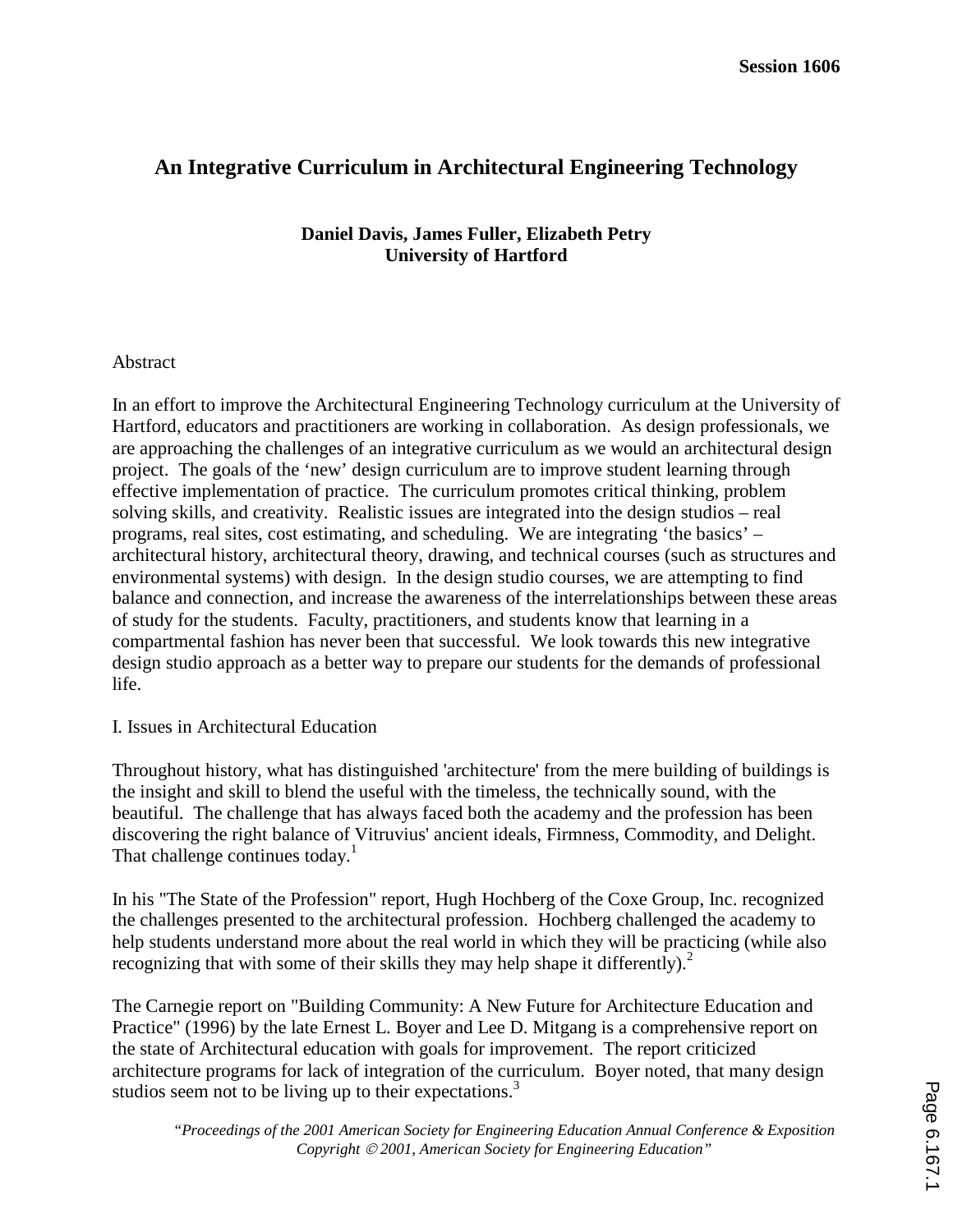# **An Integrative Curriculum in Architectural Engineering Technology**

# **Daniel Davis, James Fuller, Elizabeth Petry University of Hartford**

# Abstract

In an effort to improve the Architectural Engineering Technology curriculum at the University of Hartford, educators and practitioners are working in collaboration. As design professionals, we are approaching the challenges of an integrative curriculum as we would an architectural design project. The goals of the 'new' design curriculum are to improve student learning through effective implementation of practice. The curriculum promotes critical thinking, problem solving skills, and creativity. Realistic issues are integrated into the design studios – real programs, real sites, cost estimating, and scheduling. We are integrating 'the basics' – architectural history, architectural theory, drawing, and technical courses (such as structures and environmental systems) with design. In the design studio courses, we are attempting to find balance and connection, and increase the awareness of the interrelationships between these areas of study for the students. Faculty, practitioners, and students know that learning in a compartmental fashion has never been that successful. We look towards this new integrative design studio approach as a better way to prepare our students for the demands of professional life.

### I. Issues in Architectural Education

Throughout history, what has distinguished 'architecture' from the mere building of buildings is the insight and skill to blend the useful with the timeless, the technically sound, with the beautiful. The challenge that has always faced both the academy and the profession has been discovering the right balance of Vitruvius' ancient ideals, Firmness, Commodity, and Delight. That challenge continues today.<sup>1</sup>

In his "The State of the Profession" report, Hugh Hochberg of the Coxe Group, Inc. recognized the challenges presented to the architectural profession. Hochberg challenged the academy to help students understand more about the real world in which they will be practicing (while also recognizing that with some of their skills they may help shape it differently).<sup>2</sup>

The Carnegie report on "Building Community: A New Future for Architecture Education and Practice" (1996) by the late Ernest L. Boyer and Lee D. Mitgang is a comprehensive report on the state of Architectural education with goals for improvement. The report criticized architecture programs for lack of integration of the curriculum. Boyer noted, that many design studios seem not to be living up to their expectations.<sup>3</sup>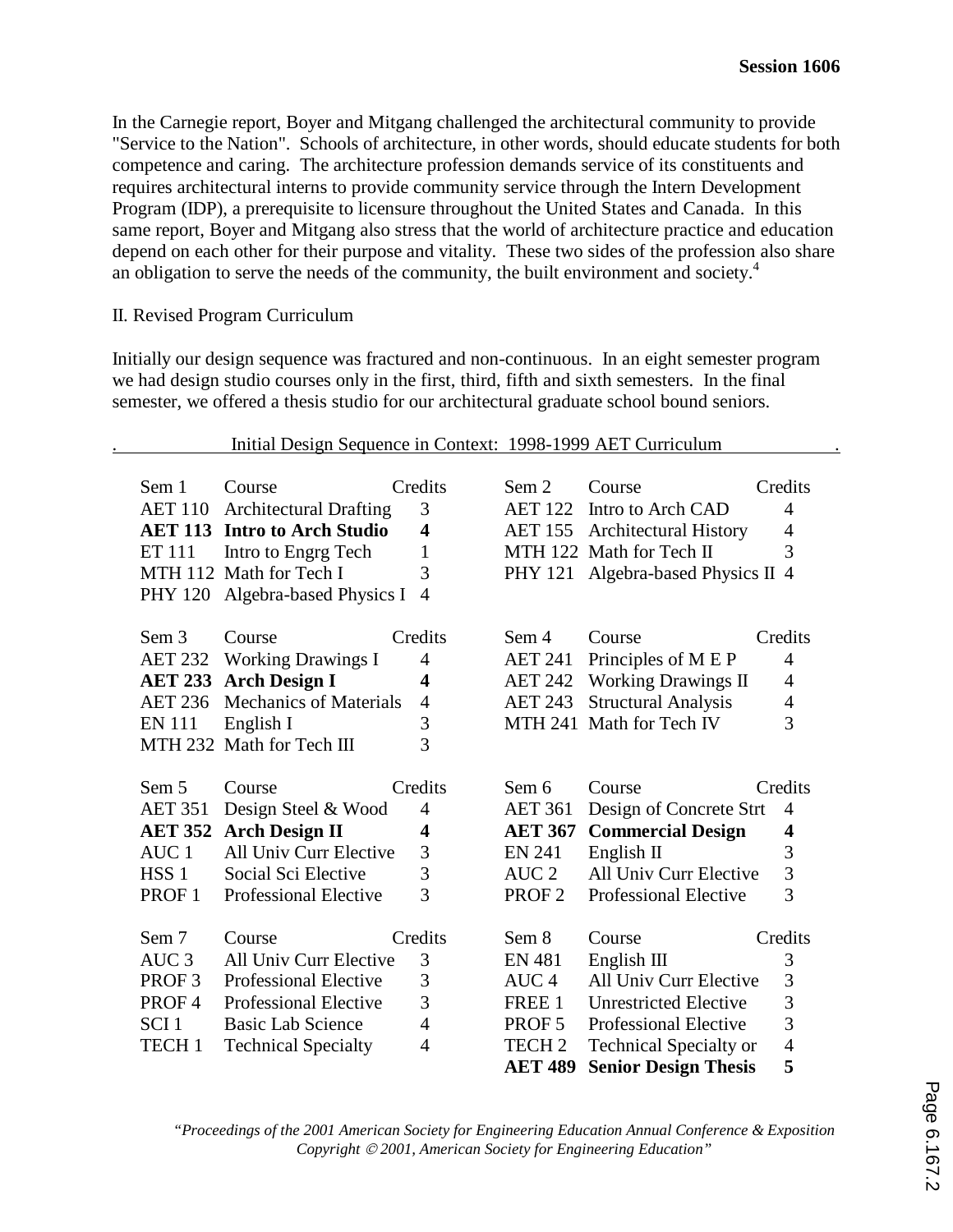In the Carnegie report, Boyer and Mitgang challenged the architectural community to provide "Service to the Nation". Schools of architecture, in other words, should educate students for both competence and caring. The architecture profession demands service of its constituents and requires architectural interns to provide community service through the Intern Development Program (IDP), a prerequisite to licensure throughout the United States and Canada. In this same report, Boyer and Mitgang also stress that the world of architecture practice and education depend on each other for their purpose and vitality. These two sides of the profession also share an obligation to serve the needs of the community, the built environment and society.<sup>4</sup>

### II. Revised Program Curriculum

Initially our design sequence was fractured and non-continuous. In an eight semester program we had design studio courses only in the first, third, fifth and sixth semesters. In the final semester, we offered a thesis studio for our architectural graduate school bound seniors.

#### . Initial Design Sequence in Context: 1998-1999 AET Curriculum .

| Sem 1<br><b>AET 110</b><br><b>ET 111</b><br><b>PHY 120</b> | Course<br><b>Architectural Drafting</b><br><b>AET 113 Intro to Arch Studio</b><br>Intro to Engrg Tech<br>MTH 112 Math for Tech I<br>Algebra-based Physics I | Credits<br>3<br>4<br>$\mathbf{1}$<br>3<br>$\overline{4}$ | Sem 2<br><b>AET 122</b><br><b>AET 155</b><br>PHY 121 | Course<br>Intro to Arch CAD<br><b>Architectural History</b><br>MTH 122 Math for Tech II<br>Algebra-based Physics II 4 | Credits<br>$\overline{4}$<br>4<br>3 |
|------------------------------------------------------------|-------------------------------------------------------------------------------------------------------------------------------------------------------------|----------------------------------------------------------|------------------------------------------------------|-----------------------------------------------------------------------------------------------------------------------|-------------------------------------|
| Sem 3                                                      | Course                                                                                                                                                      | Credits                                                  | Sem 4                                                | Course                                                                                                                | Credits                             |
| <b>AET 232</b>                                             | <b>Working Drawings I</b>                                                                                                                                   | $\overline{4}$                                           | <b>AET 241</b>                                       | Principles of M E P                                                                                                   | $\overline{4}$                      |
| <b>AET 233</b>                                             | <b>Arch Design I</b>                                                                                                                                        | 4                                                        | <b>AET 242</b>                                       | <b>Working Drawings II</b>                                                                                            | 4                                   |
| <b>AET 236</b>                                             | <b>Mechanics of Materials</b>                                                                                                                               | $\overline{4}$                                           | <b>AET 243</b>                                       | <b>Structural Analysis</b>                                                                                            | 4                                   |
| <b>EN 111</b>                                              | English I                                                                                                                                                   | 3                                                        |                                                      | MTH 241 Math for Tech IV                                                                                              | 3                                   |
|                                                            | MTH 232 Math for Tech III                                                                                                                                   | $\overline{3}$                                           |                                                      |                                                                                                                       |                                     |
| Sem 5                                                      | Course                                                                                                                                                      | Credits                                                  | Sem 6                                                | Course                                                                                                                | Credits                             |
| <b>AET 351</b>                                             | Design Steel & Wood                                                                                                                                         | 4                                                        | <b>AET 361</b>                                       | Design of Concrete Strt                                                                                               | 4                                   |
| <b>AET 352</b>                                             | <b>Arch Design II</b>                                                                                                                                       | 4                                                        | <b>AET 367</b>                                       | <b>Commercial Design</b>                                                                                              | 4                                   |
| AUC <sub>1</sub>                                           | All Univ Curr Elective                                                                                                                                      | 3                                                        | <b>EN 241</b>                                        | English $\Pi$                                                                                                         | 3                                   |
|                                                            |                                                                                                                                                             |                                                          |                                                      |                                                                                                                       |                                     |
| HSS <sub>1</sub>                                           | Social Sci Elective                                                                                                                                         | 3                                                        | AUC <sub>2</sub>                                     | All Univ Curr Elective                                                                                                | 3                                   |
| PROF <sub>1</sub>                                          | <b>Professional Elective</b>                                                                                                                                | 3                                                        | PROF <sub>2</sub>                                    | <b>Professional Elective</b>                                                                                          | 3                                   |
| Sem 7                                                      | Course                                                                                                                                                      | Credits                                                  | Sem 8                                                | Course                                                                                                                | Credits                             |
| AUC <sub>3</sub>                                           | All Univ Curr Elective                                                                                                                                      | 3                                                        | <b>EN 481</b>                                        |                                                                                                                       |                                     |
| PROF <sub>3</sub>                                          | <b>Professional Elective</b>                                                                                                                                | 3                                                        | AUC <sub>4</sub>                                     | English $III$<br>All Univ Curr Elective                                                                               | 3<br>3                              |
| PROF4                                                      | <b>Professional Elective</b>                                                                                                                                | 3                                                        | FREE 1                                               | <b>Unrestricted Elective</b>                                                                                          | $\overline{3}$                      |
| SCI <sub>1</sub>                                           | <b>Basic Lab Science</b>                                                                                                                                    | 4                                                        | PROF <sub>5</sub>                                    | <b>Professional Elective</b>                                                                                          | 3                                   |
| TECH <sub>1</sub>                                          | <b>Technical Specialty</b>                                                                                                                                  | 4                                                        | TECH <sub>2</sub>                                    | <b>Technical Specialty or</b>                                                                                         | $\overline{4}$                      |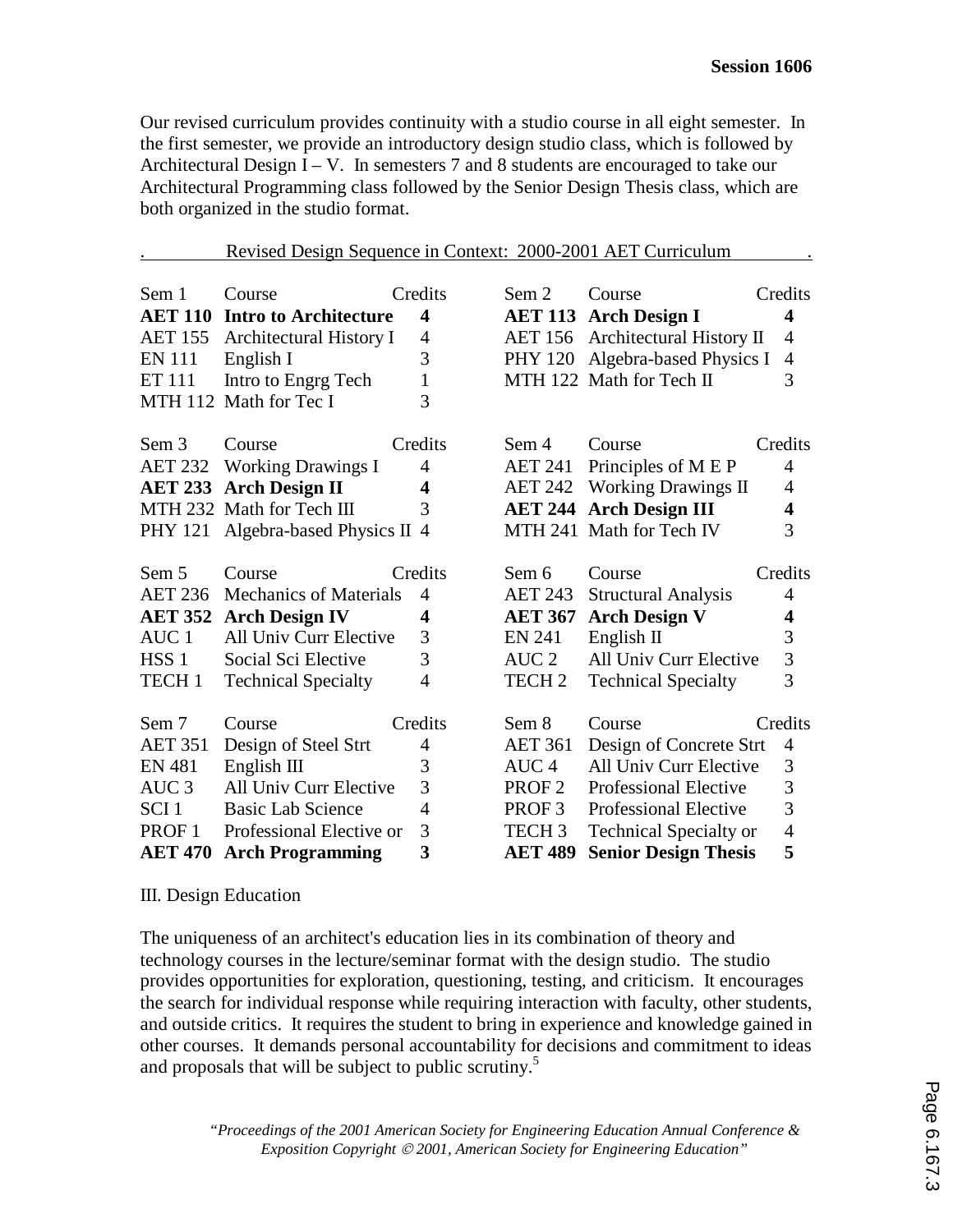Our revised curriculum provides continuity with a studio course in all eight semester. In the first semester, we provide an introductory design studio class, which is followed by Architectural Design  $I - V$ . In semesters 7 and 8 students are encouraged to take our Architectural Programming class followed by the Senior Design Thesis class, which are both organized in the studio format.

|                   | Revised Design Sequence in Context: 2000-2001 AET Curriculum |                         |                   |                                |                         |
|-------------------|--------------------------------------------------------------|-------------------------|-------------------|--------------------------------|-------------------------|
|                   |                                                              |                         |                   |                                |                         |
| Sem 1             | Course                                                       | Credits                 | Sem 2             | Course                         | Credits                 |
| <b>AET 110</b>    | <b>Intro to Architecture</b>                                 | 4                       | <b>AET 113</b>    | <b>Arch Design I</b>           | 4                       |
| <b>AET 155</b>    | Architectural History I                                      | $\overline{4}$          | <b>AET 156</b>    | Architectural History II       | $\overline{4}$          |
| <b>EN 111</b>     | English I                                                    | 3                       | <b>PHY 120</b>    | Algebra-based Physics I        | $\overline{4}$          |
| <b>ET 111</b>     | Intro to Engrg Tech                                          | $\mathbf{1}$            |                   | MTH 122 Math for Tech II       | 3                       |
|                   | MTH 112 Math for Tec I                                       | 3                       |                   |                                |                         |
| Sem 3             | Course                                                       | Credits                 | Sem 4             | Course                         | Credits                 |
| <b>AET 232</b>    | <b>Working Drawings I</b>                                    | 4                       | AET 241           | Principles of M E P            | 4                       |
|                   | <b>AET 233 Arch Design II</b>                                | $\overline{\mathbf{4}}$ | <b>AET 242</b>    | <b>Working Drawings II</b>     | $\overline{4}$          |
|                   | MTH 232 Math for Tech III                                    | 3                       |                   | <b>AET 244 Arch Design III</b> | $\overline{\mathbf{4}}$ |
| <b>PHY 121</b>    | Algebra-based Physics II 4                                   |                         |                   | MTH 241 Math for Tech IV       | 3                       |
| Sem 5             | Course                                                       | Credits                 | Sem 6             | Course                         | Credits                 |
| <b>AET 236</b>    | <b>Mechanics of Materials</b>                                | $\overline{4}$          | <b>AET 243</b>    | <b>Structural Analysis</b>     | $\overline{4}$          |
| <b>AET 352</b>    | <b>Arch Design IV</b>                                        | $\overline{\mathbf{4}}$ | <b>AET 367</b>    | <b>Arch Design V</b>           | $\overline{\mathbf{4}}$ |
| AUC <sub>1</sub>  | All Univ Curr Elective                                       | 3                       | <b>EN 241</b>     | English II                     | $\overline{3}$          |
| HSS <sub>1</sub>  | Social Sci Elective                                          | $\overline{3}$          | AUC <sub>2</sub>  | All Univ Curr Elective         | $\overline{3}$          |
| TECH <sub>1</sub> | <b>Technical Specialty</b>                                   | $\overline{4}$          | TECH <sub>2</sub> | <b>Technical Specialty</b>     | $\overline{3}$          |
| Sem 7             | Course                                                       | Credits                 | Sem 8             | Course                         | Credits                 |
| <b>AET 351</b>    | Design of Steel Strt                                         | $\overline{4}$          | <b>AET 361</b>    | Design of Concrete Strt        | $\overline{4}$          |
| <b>EN 481</b>     | English III                                                  | 3                       | AUC <sub>4</sub>  | All Univ Curr Elective         | 3                       |
| AUC <sub>3</sub>  | All Univ Curr Elective                                       | 3                       | PROF <sub>2</sub> | <b>Professional Elective</b>   | $\overline{3}$          |
| SCI <sub>1</sub>  | <b>Basic Lab Science</b>                                     | $\overline{4}$          | PROF <sub>3</sub> | <b>Professional Elective</b>   | $\overline{3}$          |
| PROF <sub>1</sub> | Professional Elective or                                     | 3                       | TECH <sub>3</sub> | <b>Technical Specialty or</b>  | $\overline{4}$          |
| <b>AET 470</b>    | <b>Arch Programming</b>                                      | 3                       | <b>AET 489</b>    | <b>Senior Design Thesis</b>    | 5                       |

### III. Design Education

The uniqueness of an architect's education lies in its combination of theory and technology courses in the lecture/seminar format with the design studio. The studio provides opportunities for exploration, questioning, testing, and criticism. It encourages the search for individual response while requiring interaction with faculty, other students, and outside critics. It requires the student to bring in experience and knowledge gained in other courses. It demands personal accountability for decisions and commitment to ideas and proposals that will be subject to public scrutiny.<sup>5</sup>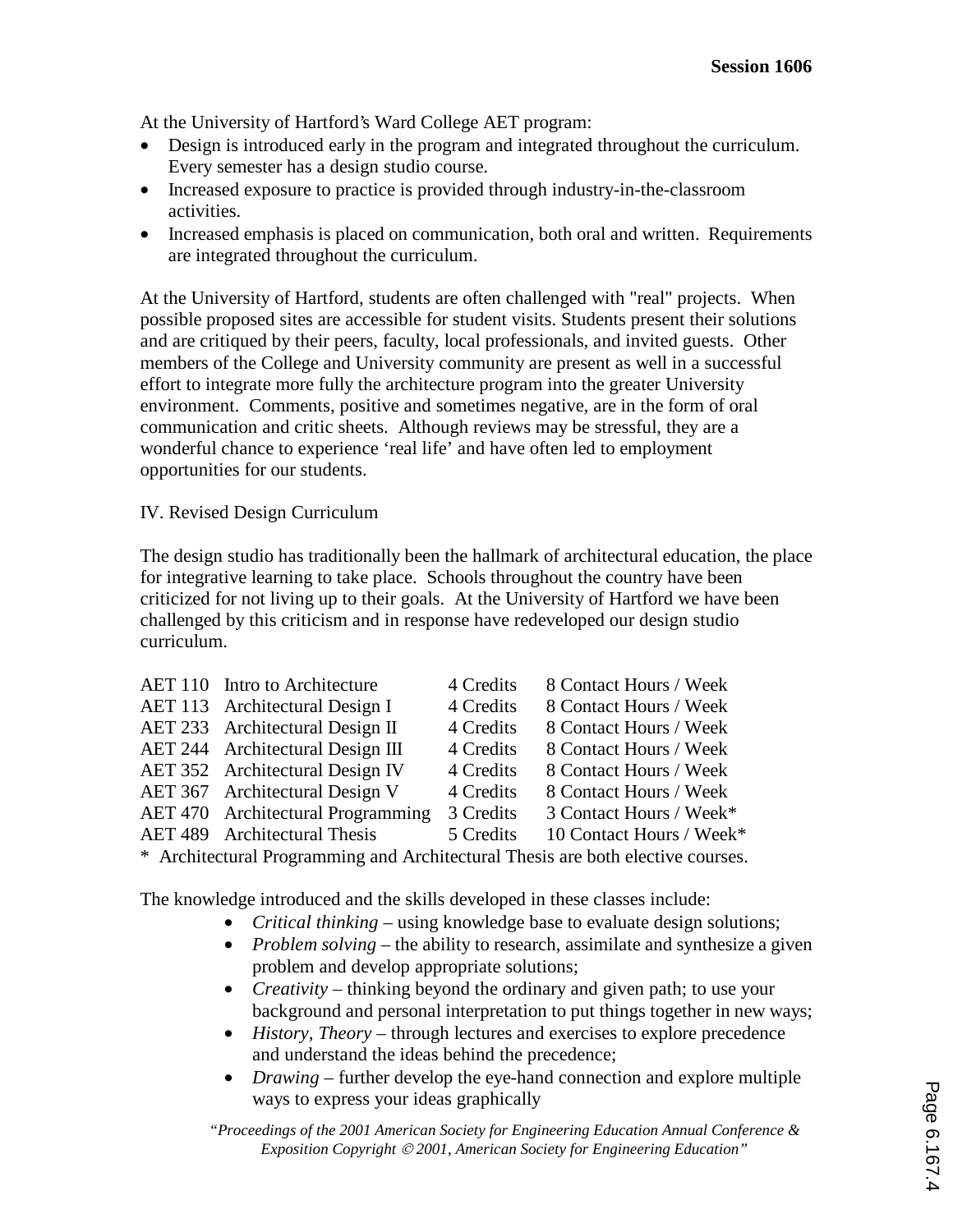At the University of Hartford's Ward College AET program:

- Design is introduced early in the program and integrated throughout the curriculum. Every semester has a design studio course.
- Increased exposure to practice is provided through industry-in-the-classroom activities.
- Increased emphasis is placed on communication, both oral and written. Requirements are integrated throughout the curriculum.

At the University of Hartford, students are often challenged with "real" projects. When possible proposed sites are accessible for student visits. Students present their solutions and are critiqued by their peers, faculty, local professionals, and invited guests. Other members of the College and University community are present as well in a successful effort to integrate more fully the architecture program into the greater University environment. Comments, positive and sometimes negative, are in the form of oral communication and critic sheets. Although reviews may be stressful, they are a wonderful chance to experience 'real life' and have often led to employment opportunities for our students.

# IV. Revised Design Curriculum

The design studio has traditionally been the hallmark of architectural education, the place for integrative learning to take place. Schools throughout the country have been criticized for not living up to their goals. At the University of Hartford we have been challenged by this criticism and in response have redeveloped our design studio curriculum.

| AET 110 Intro to Architecture     | 4 Credits | 8 Contact Hours / Week   |
|-----------------------------------|-----------|--------------------------|
| AET 113 Architectural Design I    | 4 Credits | 8 Contact Hours / Week   |
| AET 233 Architectural Design II   | 4 Credits | 8 Contact Hours / Week   |
| AET 244 Architectural Design III  | 4 Credits | 8 Contact Hours / Week   |
| AET 352 Architectural Design IV   | 4 Credits | 8 Contact Hours / Week   |
| AET 367 Architectural Design V    | 4 Credits | 8 Contact Hours / Week   |
| AET 470 Architectural Programming | 3 Credits | 3 Contact Hours / Week*  |
| AET 489 Architectural Thesis      | 5 Credits | 10 Contact Hours / Week* |
|                                   |           |                          |

\* Architectural Programming and Architectural Thesis are both elective courses.

The knowledge introduced and the skills developed in these classes include:

- *Critical thinking* using knowledge base to evaluate design solutions;
- *Problem solving* the ability to research, assimilate and synthesize a given problem and develop appropriate solutions;
- *Creativity* thinking beyond the ordinary and given path; to use your background and personal interpretation to put things together in new ways;
- *History, Theory* through lectures and exercises to explore precedence and understand the ideas behind the precedence;
- *Drawing* further develop the eye-hand connection and explore multiple ways to express your ideas graphically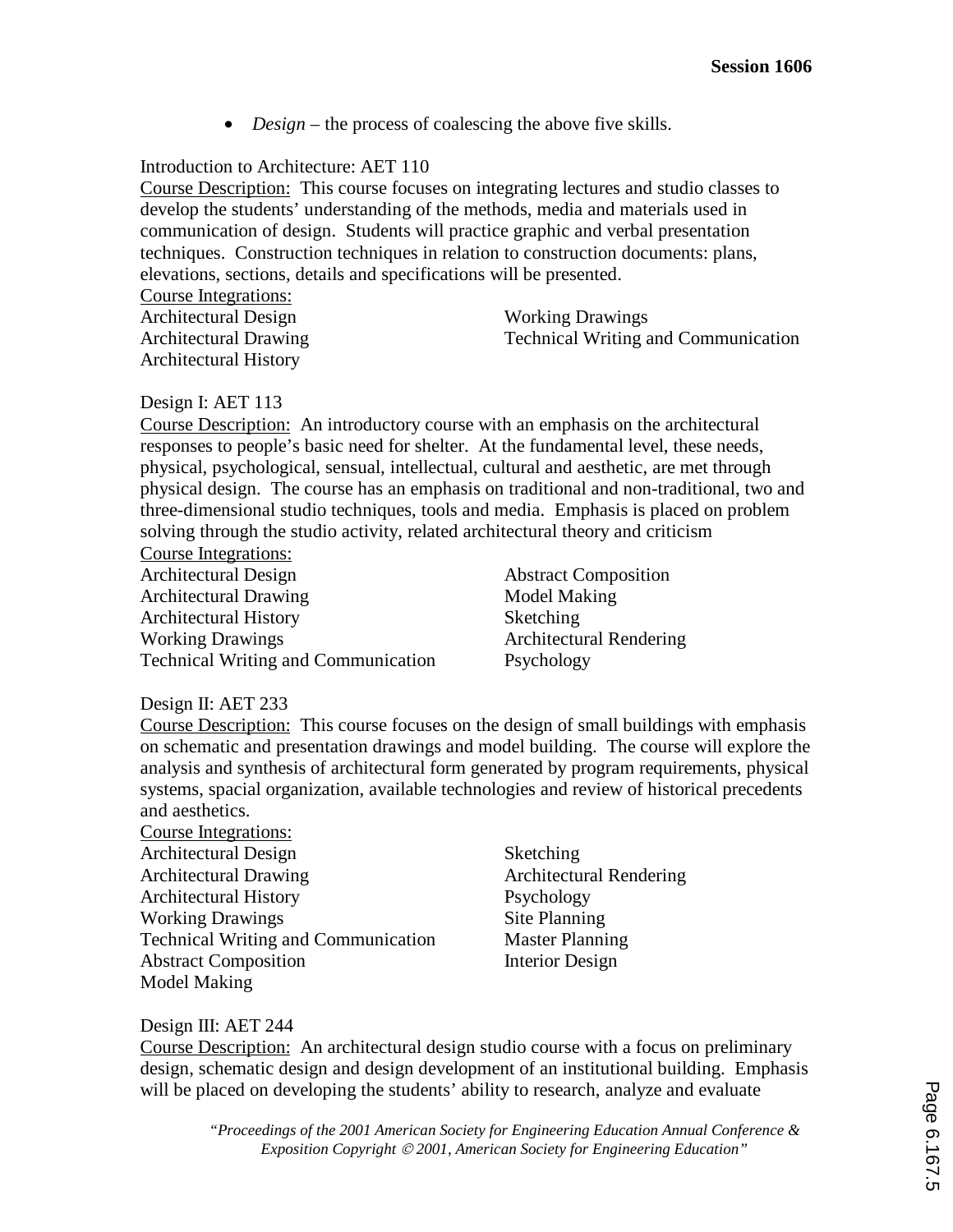• *Design* – the process of coalescing the above five skills.

# Introduction to Architecture: AET 110

Course Description: This course focuses on integrating lectures and studio classes to develop the students' understanding of the methods, media and materials used in communication of design. Students will practice graphic and verbal presentation techniques. Construction techniques in relation to construction documents: plans, elevations, sections, details and specifications will be presented. Course Integrations:

| Course integrations.         |                                            |
|------------------------------|--------------------------------------------|
| Architectural Design         | <b>Working Drawings</b>                    |
| <b>Architectural Drawing</b> | <b>Technical Writing and Communication</b> |
| <b>Architectural History</b> |                                            |

### Design I: AET 113

Course Description: An introductory course with an emphasis on the architectural responses to people's basic need for shelter. At the fundamental level, these needs, physical, psychological, sensual, intellectual, cultural and aesthetic, are met through physical design. The course has an emphasis on traditional and non-traditional, two and three-dimensional studio techniques, tools and media. Emphasis is placed on problem solving through the studio activity, related architectural theory and criticism

Course Integrations:

Architectural Design Architectural Drawing Architectural History Working Drawings Technical Writing and Communication

Abstract Composition Model Making Sketching Architectural Rendering Psychology

### Design II: AET 233

Course Description: This course focuses on the design of small buildings with emphasis on schematic and presentation drawings and model building. The course will explore the analysis and synthesis of architectural form generated by program requirements, physical systems, spacial organization, available technologies and review of historical precedents and aesthetics.

- Course Integrations: Architectural Design Architectural Drawing Architectural History Working Drawings Technical Writing and Communication Abstract Composition Model Making
- Sketching Architectural Rendering Psychology Site Planning Master Planning Interior Design

Design III: AET 244

Course Description: An architectural design studio course with a focus on preliminary design, schematic design and design development of an institutional building. Emphasis will be placed on developing the students' ability to research, analyze and evaluate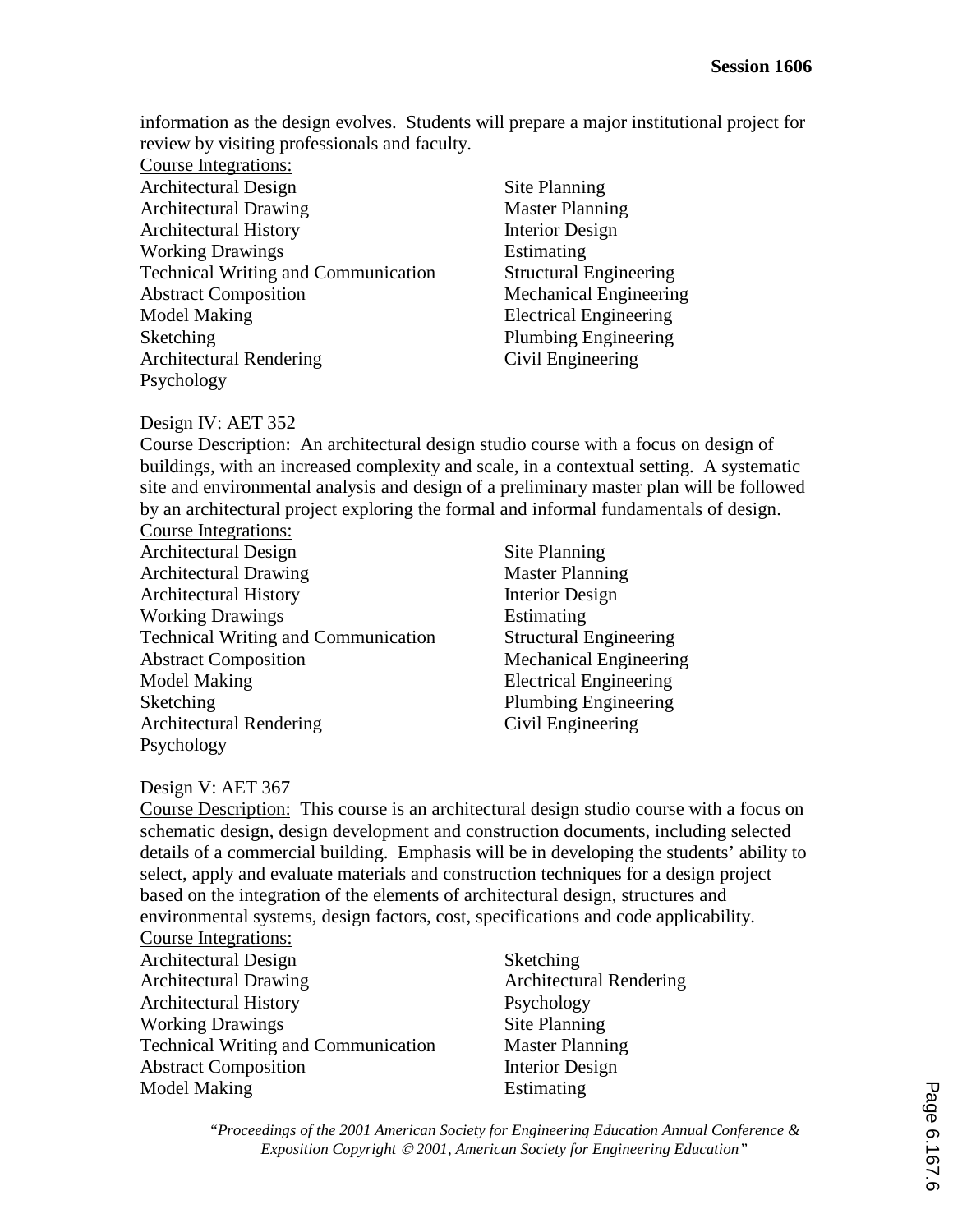information as the design evolves. Students will prepare a major institutional project for review by visiting professionals and faculty.

- Course Integrations: Architectural Design Architectural Drawing Architectural History Working Drawings Technical Writing and Communication Abstract Composition Model Making Sketching Architectural Rendering Psychology
- Site Planning Master Planning Interior Design Estimating Structural Engineering Mechanical Engineering Electrical Engineering Plumbing Engineering Civil Engineering

### Design IV: AET 352

Course Description: An architectural design studio course with a focus on design of buildings, with an increased complexity and scale, in a contextual setting. A systematic site and environmental analysis and design of a preliminary master plan will be followed by an architectural project exploring the formal and informal fundamentals of design.

- Course Integrations: Architectural Design Architectural Drawing Architectural History Working Drawings Technical Writing and Communication Abstract Composition Model Making **Sketching** Architectural Rendering Psychology
- Site Planning Master Planning Interior Design Estimating Structural Engineering Mechanical Engineering Electrical Engineering Plumbing Engineering Civil Engineering

# Design V: AET 367

Course Description: This course is an architectural design studio course with a focus on schematic design, design development and construction documents, including selected details of a commercial building. Emphasis will be in developing the students' ability to select, apply and evaluate materials and construction techniques for a design project based on the integration of the elements of architectural design, structures and environmental systems, design factors, cost, specifications and code applicability.

#### Course Integrations:

- Architectural Design Architectural Drawing Architectural History Working Drawings Technical Writing and Communication Abstract Composition Model Making
- Sketching Architectural Rendering Psychology Site Planning Master Planning Interior Design Estimating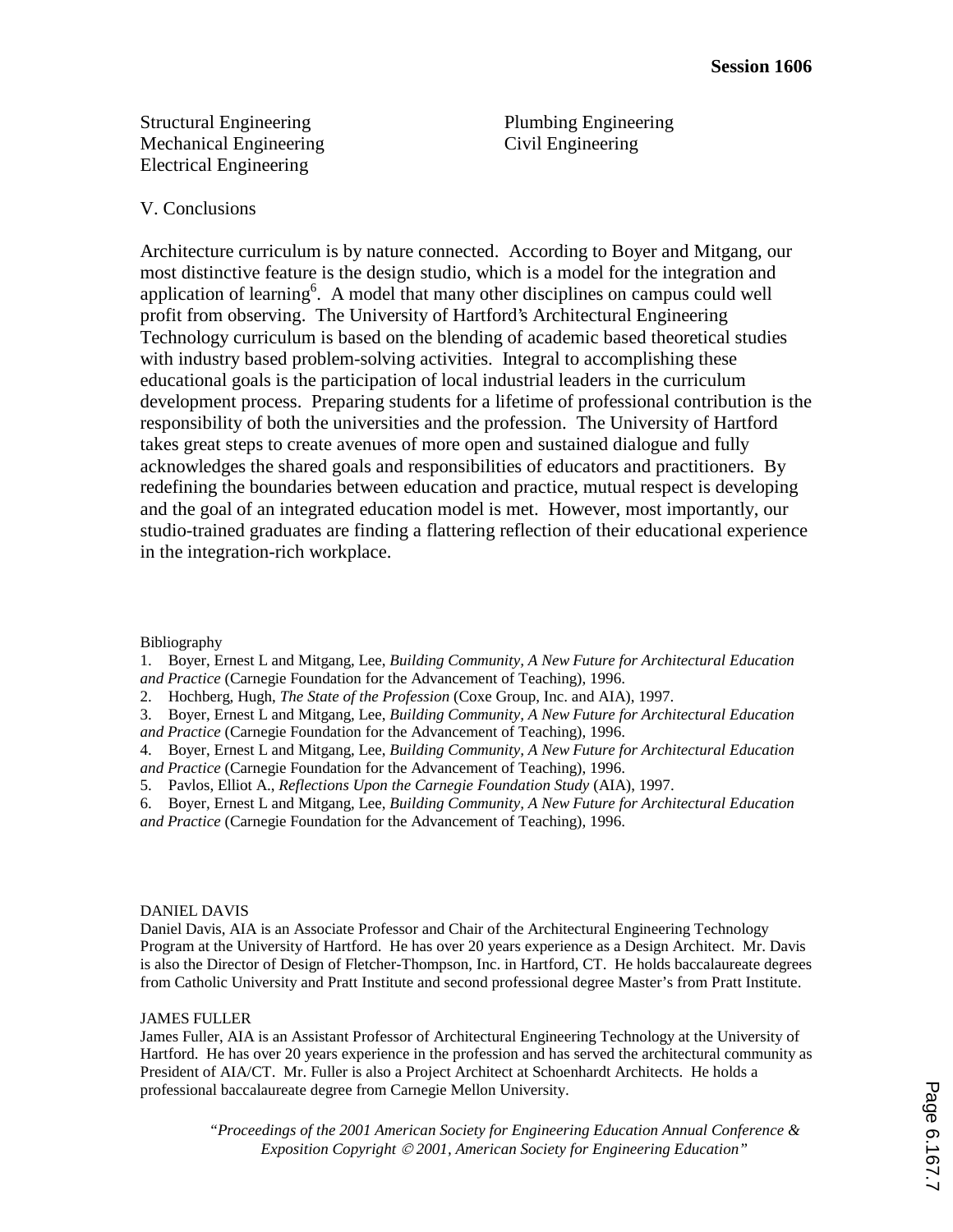Structural Engineering Mechanical Engineering Electrical Engineering

Plumbing Engineering Civil Engineering

#### V. Conclusions

Architecture curriculum is by nature connected. According to Boyer and Mitgang, our most distinctive feature is the design studio, which is a model for the integration and application of learning<sup>6</sup>. A model that many other disciplines on campus could well profit from observing. The University of Hartford's Architectural Engineering Technology curriculum is based on the blending of academic based theoretical studies with industry based problem-solving activities. Integral to accomplishing these educational goals is the participation of local industrial leaders in the curriculum development process. Preparing students for a lifetime of professional contribution is the responsibility of both the universities and the profession. The University of Hartford takes great steps to create avenues of more open and sustained dialogue and fully acknowledges the shared goals and responsibilities of educators and practitioners. By redefining the boundaries between education and practice, mutual respect is developing and the goal of an integrated education model is met. However, most importantly, our studio-trained graduates are finding a flattering reflection of their educational experience in the integration-rich workplace.

#### Bibliography

1. Boyer, Ernest L and Mitgang, Lee, *Building Community, A New Future for Architectural Education and Practice* (Carnegie Foundation for the Advancement of Teaching), 1996.

- 2. Hochberg, Hugh, *The State of the Profession* (Coxe Group, Inc. and AIA), 1997.
- 3. Boyer, Ernest L and Mitgang, Lee, *Building Community, A New Future for Architectural Education and Practice* (Carnegie Foundation for the Advancement of Teaching), 1996.

4. Boyer, Ernest L and Mitgang, Lee, *Building Community, A New Future for Architectural Education and Practice* (Carnegie Foundation for the Advancement of Teaching), 1996.

5. Pavlos, Elliot A., *Reflections Upon the Carnegie Foundation Study* (AIA), 1997.

6. Boyer, Ernest L and Mitgang, Lee, *Building Community, A New Future for Architectural Education and Practice* (Carnegie Foundation for the Advancement of Teaching), 1996.

#### DANIEL DAVIS

Daniel Davis, AIA is an Associate Professor and Chair of the Architectural Engineering Technology Program at the University of Hartford. He has over 20 years experience as a Design Architect. Mr. Davis is also the Director of Design of Fletcher-Thompson, Inc. in Hartford, CT. He holds baccalaureate degrees from Catholic University and Pratt Institute and second professional degree Master's from Pratt Institute.

#### JAMES FULLER

James Fuller, AIA is an Assistant Professor of Architectural Engineering Technology at the University of Hartford. He has over 20 years experience in the profession and has served the architectural community as President of AIA/CT. Mr. Fuller is also a Project Architect at Schoenhardt Architects. He holds a professional baccalaureate degree from Carnegie Mellon University.